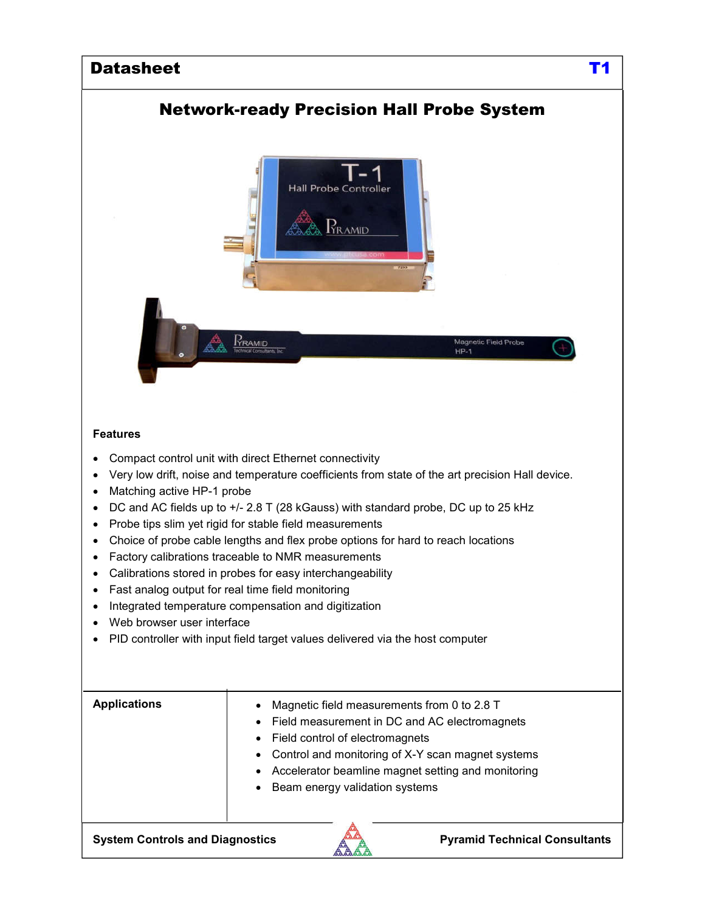# Network-ready Precision Hall Probe System



#### **Features**

- Compact control unit with direct Ethernet connectivity
- Very low drift, noise and temperature coefficients from state of the art precision Hall device.
- Matching active HP-1 probe
- DC and AC fields up to +/- 2.8 T (28 kGauss) with standard probe, DC up to 25 kHz
- Probe tips slim yet rigid for stable field measurements
- Choice of probe cable lengths and flex probe options for hard to reach locations
- Factory calibrations traceable to NMR measurements
- Calibrations stored in probes for easy interchangeability
- Fast analog output for real time field monitoring
- Integrated temperature compensation and digitization
- Web browser user interface
- PID controller with input field target values delivered via the host computer

| <b>Applications</b>                                                            | Magnetic field measurements from 0 to 2.8 T<br>$\bullet$<br>• Field measurement in DC and AC electromagnets<br>• Field control of electromagnets<br>Control and monitoring of X-Y scan magnet systems<br>• Accelerator beamline magnet setting and monitoring<br>Beam energy validation systems |
|--------------------------------------------------------------------------------|-------------------------------------------------------------------------------------------------------------------------------------------------------------------------------------------------------------------------------------------------------------------------------------------------|
| <b>System Controls and Diagnostics</b><br><b>Pyramid Technical Consultants</b> |                                                                                                                                                                                                                                                                                                 |

T1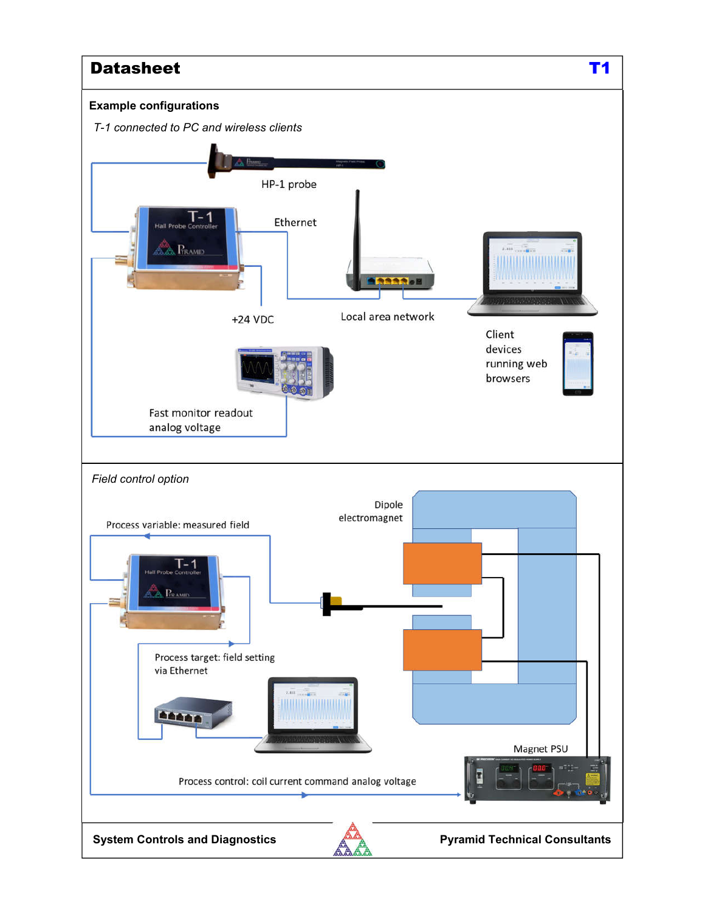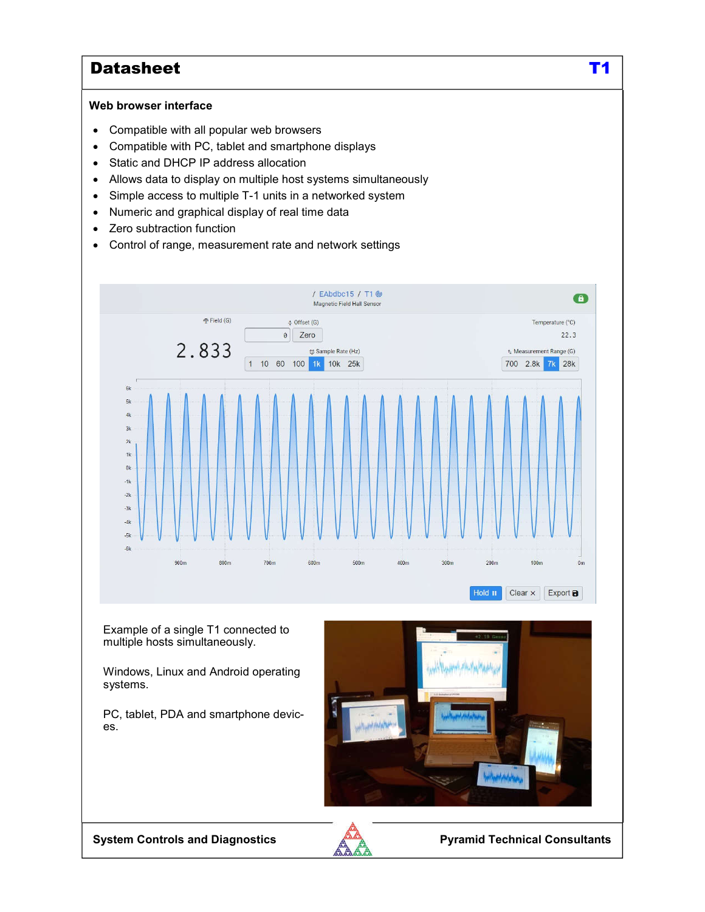#### **Web browser interface**

- Compatible with all popular web browsers
- Compatible with PC, tablet and smartphone displays
- Static and DHCP IP address allocation
- Allows data to display on multiple host systems simultaneously
- Simple access to multiple T-1 units in a networked system
- Numeric and graphical display of real time data
- Zero subtraction function
- Control of range, measurement rate and network settings



Example of a single T1 connected to multiple hosts simultaneously.

Windows, Linux and Android operating systems.

PC, tablet, PDA and smartphone devices.



**System Controls and Diagnostics**



**Pyramid Technical Consultants**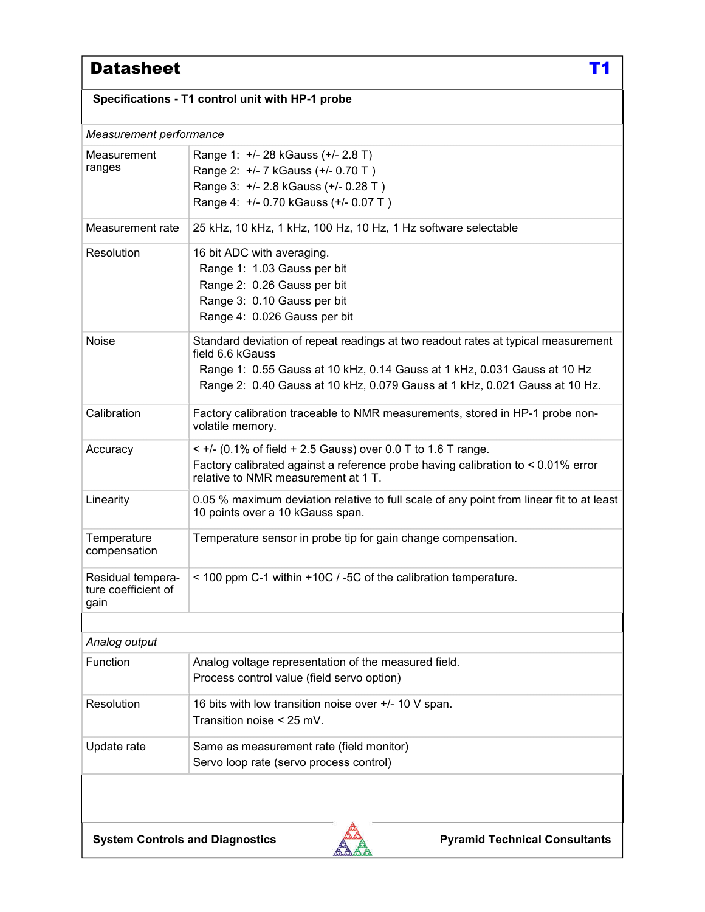| Specifications - T1 control unit with HP-1 probe |                                                                                                                                                                                                                                                                 |  |
|--------------------------------------------------|-----------------------------------------------------------------------------------------------------------------------------------------------------------------------------------------------------------------------------------------------------------------|--|
| Measurement performance                          |                                                                                                                                                                                                                                                                 |  |
| Measurement<br>ranges                            | Range 1: +/- 28 kGauss (+/- 2.8 T)<br>Range 2: +/- 7 kGauss (+/- 0.70 T)<br>Range 3: +/- 2.8 kGauss (+/- 0.28 T)<br>Range 4: +/- 0.70 kGauss (+/- 0.07 T)                                                                                                       |  |
| Measurement rate                                 | 25 kHz, 10 kHz, 1 kHz, 100 Hz, 10 Hz, 1 Hz software selectable                                                                                                                                                                                                  |  |
| Resolution                                       | 16 bit ADC with averaging.<br>Range 1: 1.03 Gauss per bit<br>Range 2: 0.26 Gauss per bit<br>Range 3: 0.10 Gauss per bit<br>Range 4: 0.026 Gauss per bit                                                                                                         |  |
| <b>Noise</b>                                     | Standard deviation of repeat readings at two readout rates at typical measurement<br>field 6.6 kGauss<br>Range 1: 0.55 Gauss at 10 kHz, 0.14 Gauss at 1 kHz, 0.031 Gauss at 10 Hz<br>Range 2: 0.40 Gauss at 10 kHz, 0.079 Gauss at 1 kHz, 0.021 Gauss at 10 Hz. |  |
| Calibration                                      | Factory calibration traceable to NMR measurements, stored in HP-1 probe non-<br>volatile memory.                                                                                                                                                                |  |
| Accuracy                                         | < $+/-$ (0.1% of field + 2.5 Gauss) over 0.0 T to 1.6 T range.<br>Factory calibrated against a reference probe having calibration to < 0.01% error<br>relative to NMR measurement at 1 T.                                                                       |  |
| Linearity                                        | 0.05 % maximum deviation relative to full scale of any point from linear fit to at least<br>10 points over a 10 kGauss span.                                                                                                                                    |  |
| Temperature<br>compensation                      | Temperature sensor in probe tip for gain change compensation.                                                                                                                                                                                                   |  |
| Residual tempera-<br>ture coefficient of<br>gain | < 100 ppm C-1 within +10C / -5C of the calibration temperature.                                                                                                                                                                                                 |  |
| Analog output                                    |                                                                                                                                                                                                                                                                 |  |
| Function                                         | Analog voltage representation of the measured field.<br>Process control value (field servo option)                                                                                                                                                              |  |
| Resolution                                       | 16 bits with low transition noise over +/- 10 V span.<br>Transition noise < 25 mV.                                                                                                                                                                              |  |
| Update rate                                      | Same as measurement rate (field monitor)<br>Servo loop rate (servo process control)                                                                                                                                                                             |  |
|                                                  |                                                                                                                                                                                                                                                                 |  |

**System Controls and Diagnostics**



**Pyramid Technical Consultants**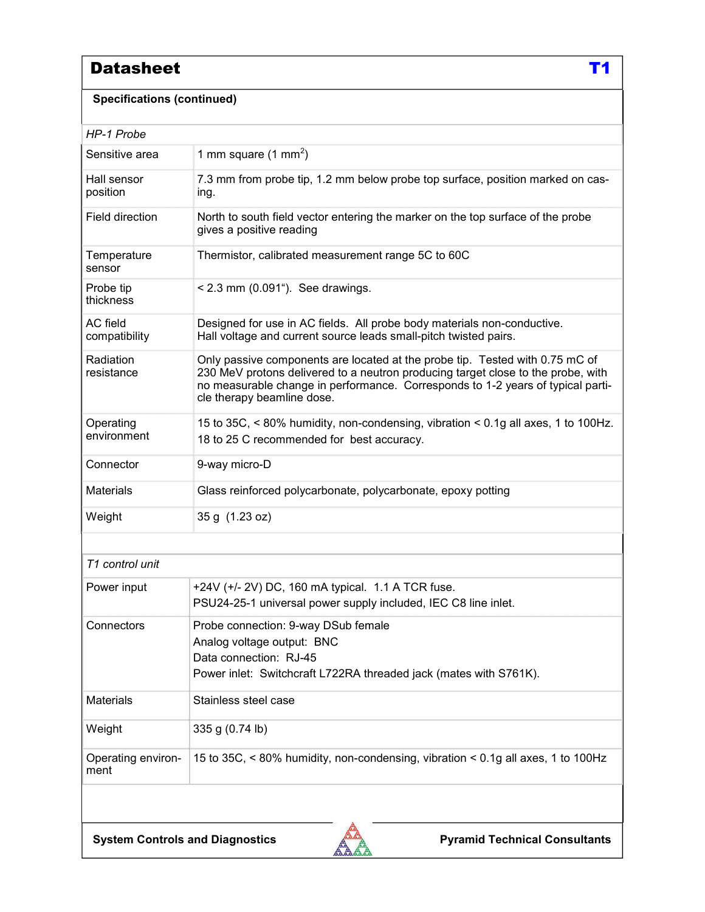#### **Specifications (continued)**

| HP-1 Probe                 |                                                                                                                                                                                                                                                                                   |  |
|----------------------------|-----------------------------------------------------------------------------------------------------------------------------------------------------------------------------------------------------------------------------------------------------------------------------------|--|
| Sensitive area             | 1 mm square $(1 \text{ mm}^2)$                                                                                                                                                                                                                                                    |  |
| Hall sensor<br>position    | 7.3 mm from probe tip, 1.2 mm below probe top surface, position marked on cas-<br>ing.                                                                                                                                                                                            |  |
| Field direction            | North to south field vector entering the marker on the top surface of the probe<br>gives a positive reading                                                                                                                                                                       |  |
| Temperature<br>sensor      | Thermistor, calibrated measurement range 5C to 60C                                                                                                                                                                                                                                |  |
| Probe tip<br>thickness     | $< 2.3$ mm (0.091"). See drawings.                                                                                                                                                                                                                                                |  |
| AC field<br>compatibility  | Designed for use in AC fields. All probe body materials non-conductive.<br>Hall voltage and current source leads small-pitch twisted pairs.                                                                                                                                       |  |
| Radiation<br>resistance    | Only passive components are located at the probe tip. Tested with 0.75 mC of<br>230 MeV protons delivered to a neutron producing target close to the probe, with<br>no measurable change in performance. Corresponds to 1-2 years of typical parti-<br>cle therapy beamline dose. |  |
| Operating<br>environment   | 15 to 35C, < 80% humidity, non-condensing, vibration < 0.1g all axes, 1 to 100Hz.<br>18 to 25 C recommended for best accuracy.                                                                                                                                                    |  |
| Connector                  | 9-way micro-D                                                                                                                                                                                                                                                                     |  |
| <b>Materials</b>           | Glass reinforced polycarbonate, polycarbonate, epoxy potting                                                                                                                                                                                                                      |  |
| Weight                     | 35 g (1.23 oz)                                                                                                                                                                                                                                                                    |  |
|                            |                                                                                                                                                                                                                                                                                   |  |
| T1 control unit            |                                                                                                                                                                                                                                                                                   |  |
| Power input                | +24V (+/- 2V) DC, 160 mA typical. 1.1 A TCR fuse.<br>PSU24-25-1 universal power supply included, IEC C8 line inlet.                                                                                                                                                               |  |
| Connectors                 | Probe connection: 9-way DSub female<br>Analog voltage output: BNC<br>Data connection: RJ-45<br>Power inlet: Switchcraft L722RA threaded jack (mates with S761K).                                                                                                                  |  |
| <b>Materials</b>           | Stainless steel case                                                                                                                                                                                                                                                              |  |
| Weight                     | 335 g (0.74 lb)                                                                                                                                                                                                                                                                   |  |
| Operating environ-<br>ment | 15 to 35C, < 80% humidity, non-condensing, vibration < 0.1g all axes, 1 to 100Hz                                                                                                                                                                                                  |  |
|                            |                                                                                                                                                                                                                                                                                   |  |
|                            |                                                                                                                                                                                                                                                                                   |  |

**System Controls and Diagnostics**



**Pyramid Technical Consultants**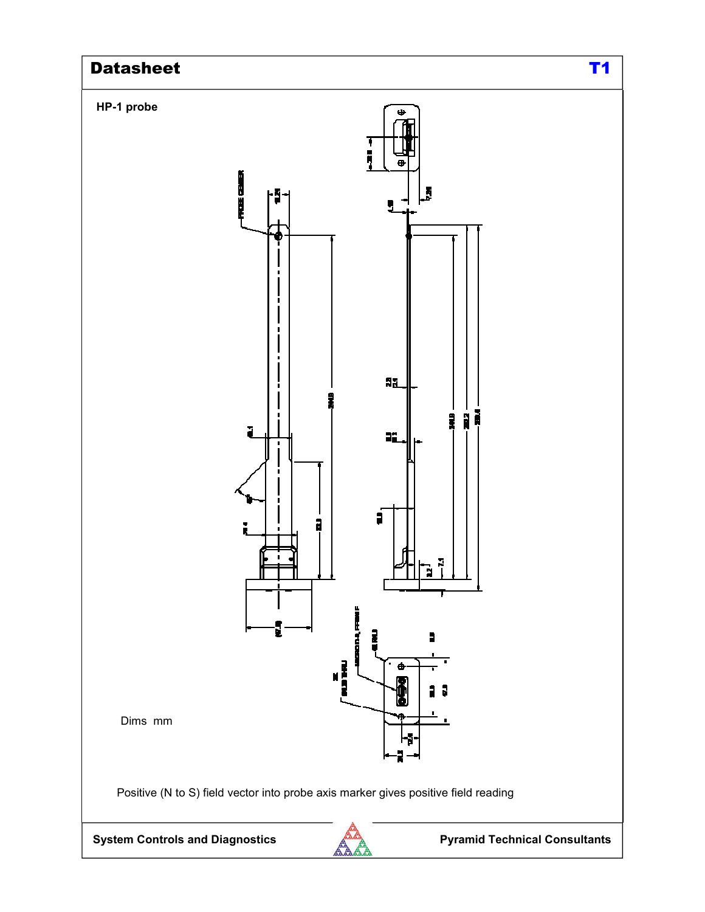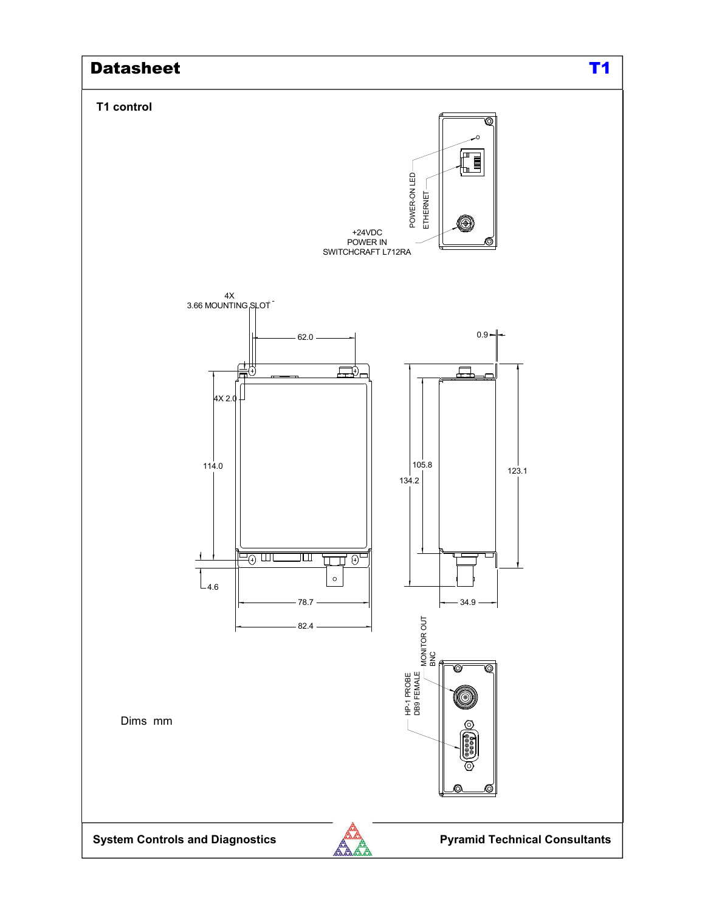